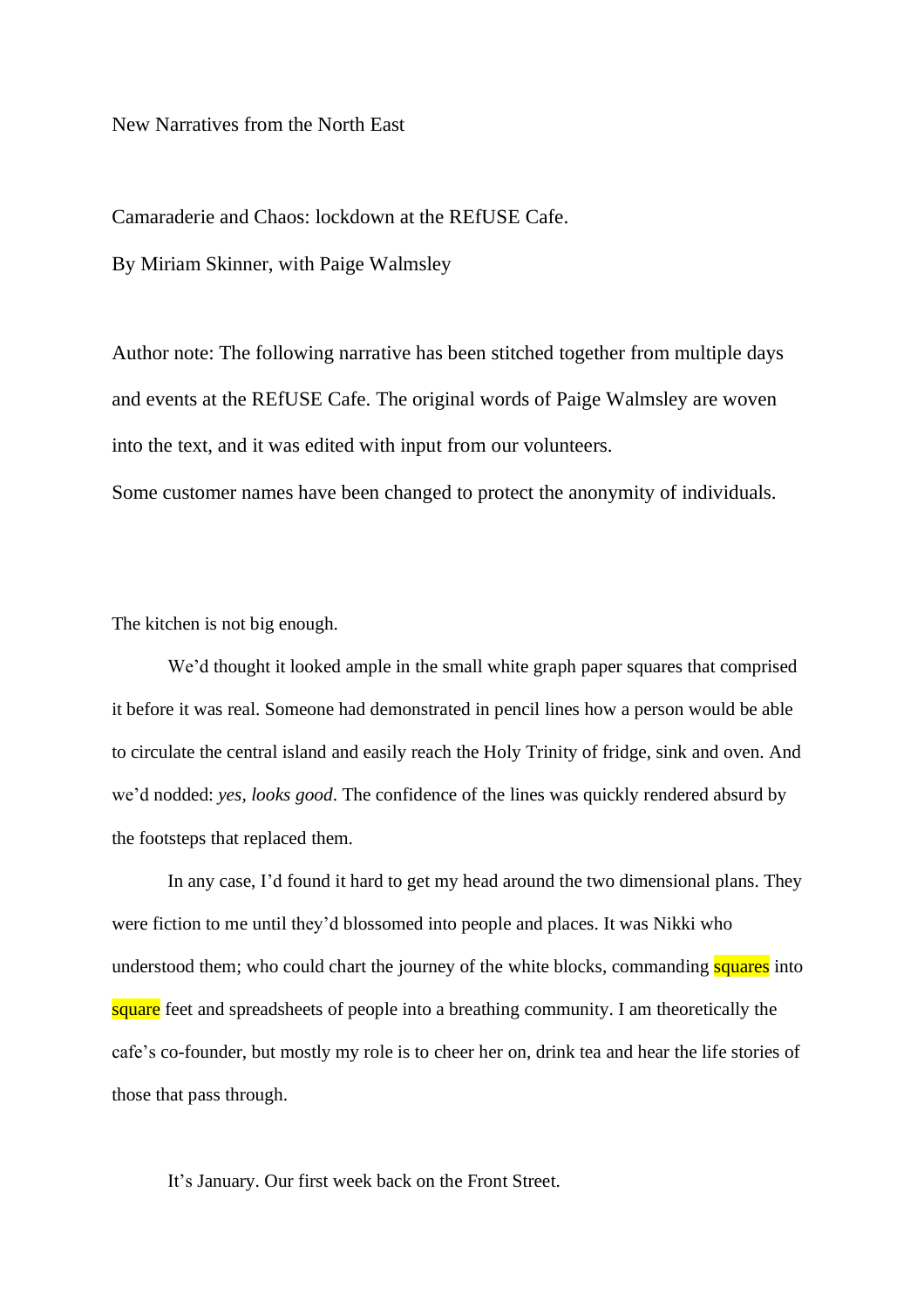New Narratives from the North East

Camaraderie and Chaos: lockdown at the REfUSE Cafe.

By Miriam Skinner, with Paige Walmsley

Author note: The following narrative has been stitched together from multiple days and events at the REfUSE Cafe. The original words of Paige Walmsley are woven into the text, and it was edited with input from our volunteers.

Some customer names have been changed to protect the anonymity of individuals.

The kitchen is not big enough.

We'd thought it looked ample in the small white graph paper squares that comprised it before it was real. Someone had demonstrated in pencil lines how a person would be able to circulate the central island and easily reach the Holy Trinity of fridge, sink and oven. And we'd nodded: *yes, looks good*. The confidence of the lines was quickly rendered absurd by the footsteps that replaced them.

In any case, I'd found it hard to get my head around the two dimensional plans. They were fiction to me until they'd blossomed into people and places. It was Nikki who understood them; who could chart the journey of the white blocks, commanding squares into square feet and spreadsheets of people into a breathing community. I am theoretically the cafe's co-founder, but mostly my role is to cheer her on, drink tea and hear the life stories of those that pass through.

It's January. Our first week back on the Front Street.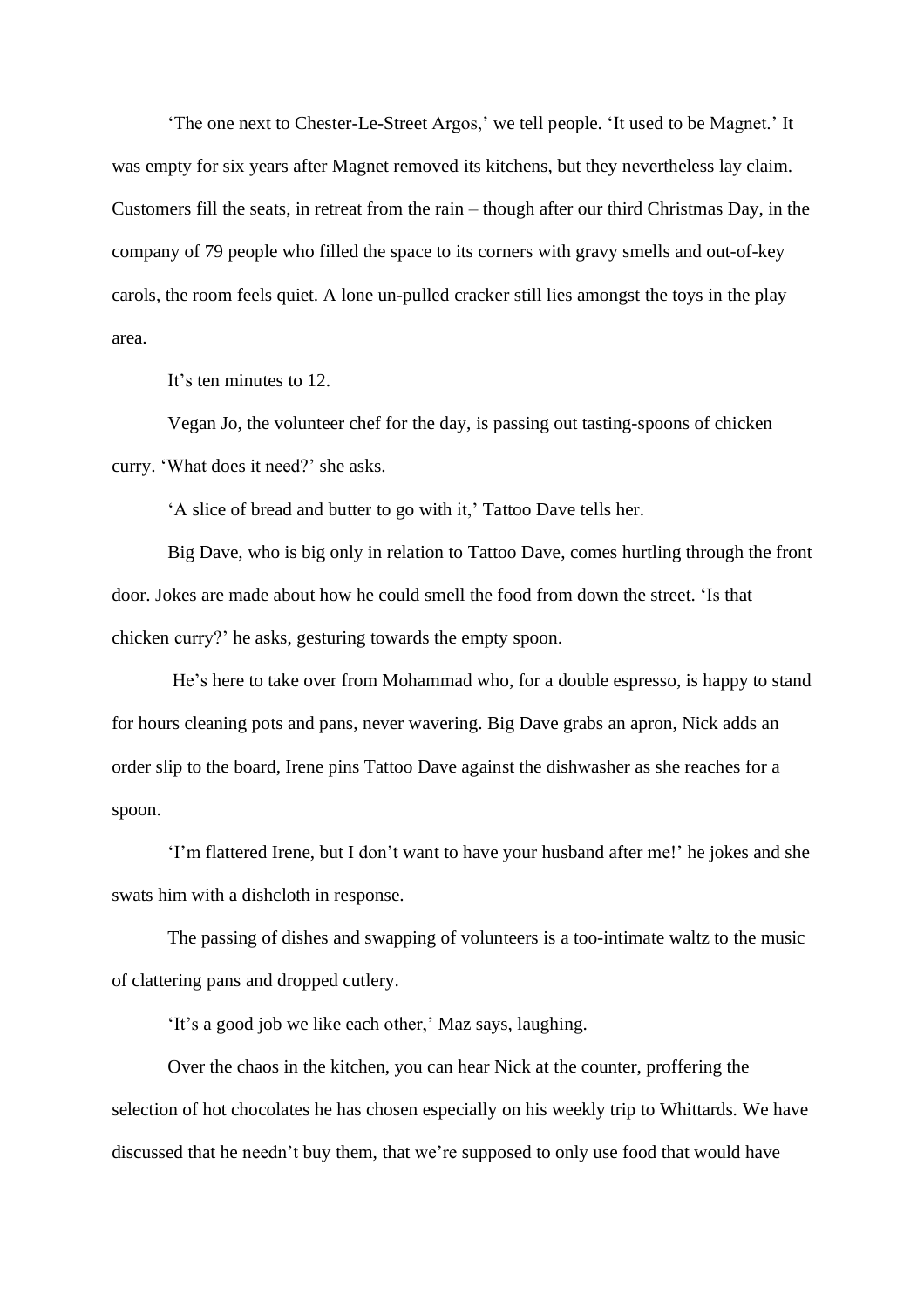'The one next to Chester-Le-Street Argos,' we tell people. 'It used to be Magnet.' It was empty for six years after Magnet removed its kitchens, but they nevertheless lay claim. Customers fill the seats, in retreat from the rain – though after our third Christmas Day, in the company of 79 people who filled the space to its corners with gravy smells and out-of-key carols, the room feels quiet. A lone un-pulled cracker still lies amongst the toys in the play area.

It's ten minutes to 12.

Vegan Jo, the volunteer chef for the day, is passing out tasting-spoons of chicken curry. 'What does it need?' she asks.

'A slice of bread and butter to go with it,' Tattoo Dave tells her.

Big Dave, who is big only in relation to Tattoo Dave, comes hurtling through the front door. Jokes are made about how he could smell the food from down the street. 'Is that chicken curry?' he asks, gesturing towards the empty spoon.

He's here to take over from Mohammad who, for a double espresso, is happy to stand for hours cleaning pots and pans, never wavering. Big Dave grabs an apron, Nick adds an order slip to the board, Irene pins Tattoo Dave against the dishwasher as she reaches for a spoon.

'I'm flattered Irene, but I don't want to have your husband after me!' he jokes and she swats him with a dishcloth in response.

The passing of dishes and swapping of volunteers is a too-intimate waltz to the music of clattering pans and dropped cutlery.

'It's a good job we like each other,' Maz says, laughing.

Over the chaos in the kitchen, you can hear Nick at the counter, proffering the selection of hot chocolates he has chosen especially on his weekly trip to Whittards*.* We have discussed that he needn't buy them, that we're supposed to only use food that would have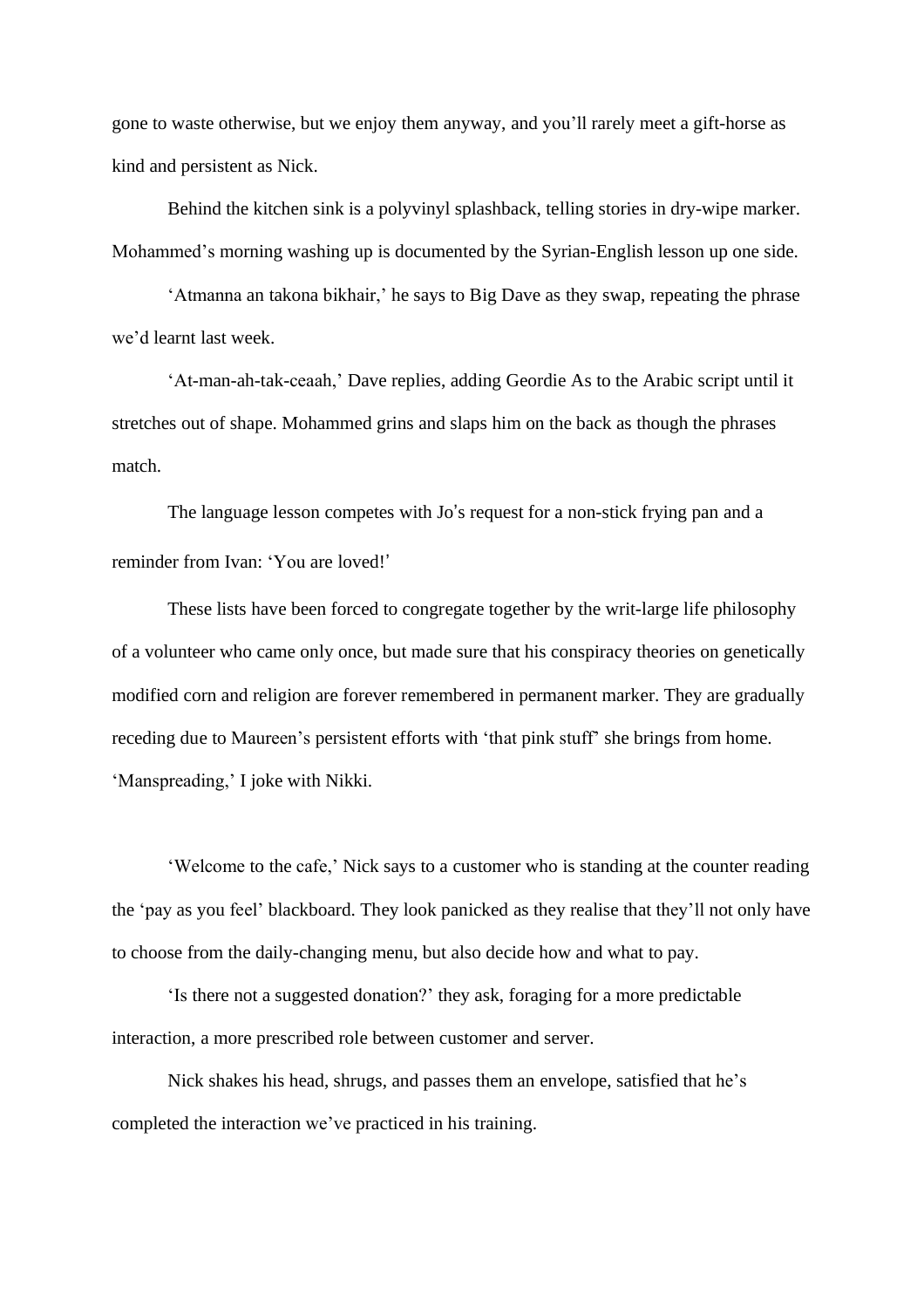gone to waste otherwise, but we enjoy them anyway, and you'll rarely meet a gift-horse as kind and persistent as Nick.

Behind the kitchen sink is a polyvinyl splashback, telling stories in dry-wipe marker. Mohammed's morning washing up is documented by the Syrian-English lesson up one side.

'Atmanna an takona bikhair,' he says to Big Dave as they swap, repeating the phrase we'd learnt last week.

'At-man-ah-tak-ceaah,' Dave replies, adding Geordie As to the Arabic script until it stretches out of shape. Mohammed grins and slaps him on the back as though the phrases match.

The language lesson competes with Jo's request for a non-stick frying pan and a reminder from Ivan: 'You are loved! '

These lists have been forced to congregate together by the writ-large life philosophy of a volunteer who came only once, but made sure that his conspiracy theories on genetically modified corn and religion are forever remembered in permanent marker. They are gradually receding due to Maureen's persistent efforts with 'that pink stuff' she brings from home. 'Manspreading,' I joke with Nikki.

'Welcome to the cafe,' Nick says to a customer who is standing at the counter reading the 'pay as you feel' blackboard. They look panicked as they realise that they'll not only have to choose from the daily-changing menu, but also decide how and what to pay.

'Is there not a suggested donation?' they ask, foraging for a more predictable interaction, a more prescribed role between customer and server.

Nick shakes his head, shrugs, and passes them an envelope, satisfied that he's completed the interaction we've practiced in his training.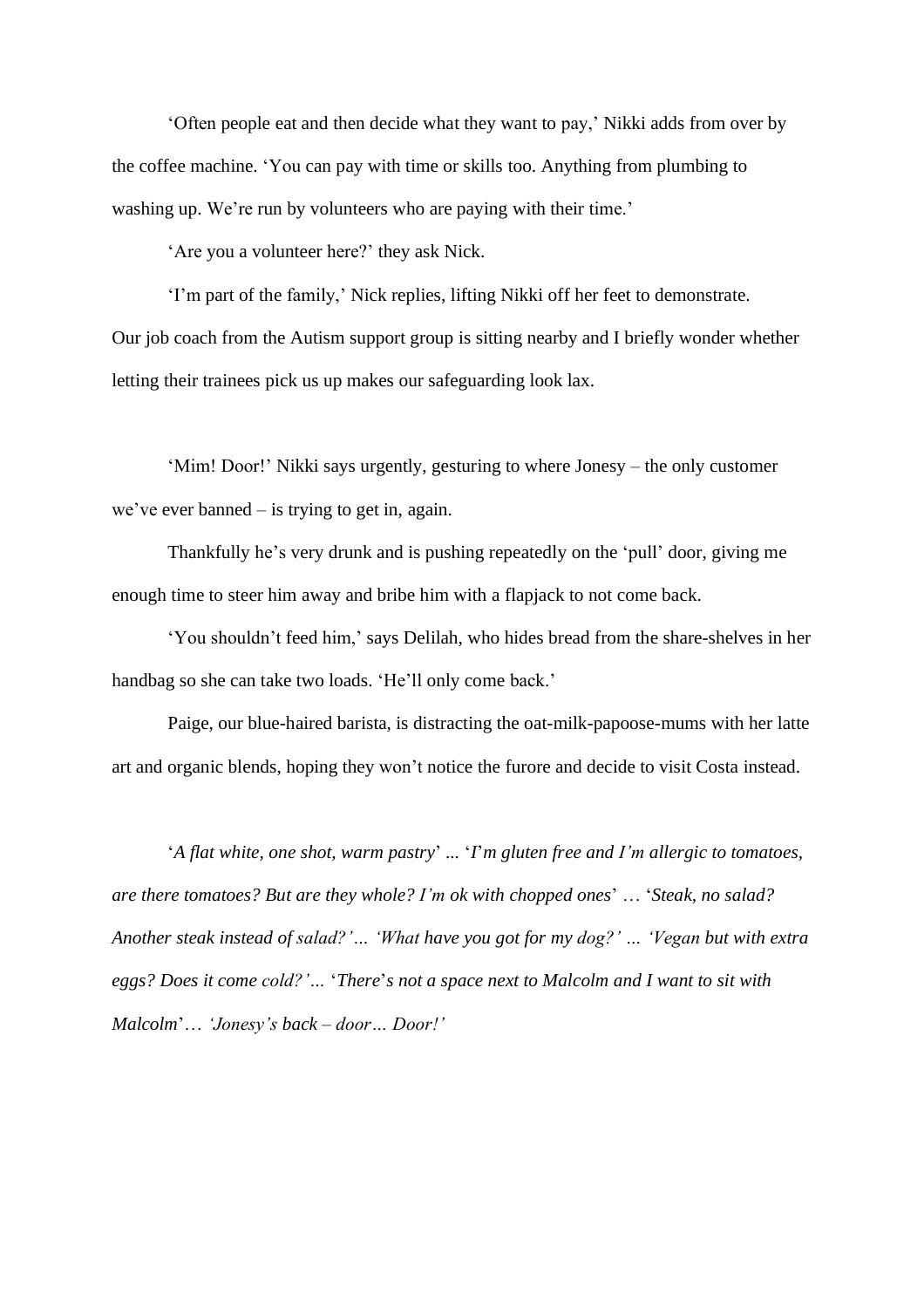'Often people eat and then decide what they want to pay,' Nikki adds from over by the coffee machine. 'You can pay with time or skills too. Anything from plumbing to washing up. We're run by volunteers who are paying with their time.'

'Are you a volunteer here?' they ask Nick.

'I'm part of the family,' Nick replies, lifting Nikki off her feet to demonstrate. Our job coach from the Autism support group is sitting nearby and I briefly wonder whether letting their trainees pick us up makes our safeguarding look lax.

'Mim! Door!' Nikki says urgently, gesturing to where Jonesy – the only customer we've ever banned – is trying to get in, again.

Thankfully he's very drunk and is pushing repeatedly on the 'pull' door, giving me enough time to steer him away and bribe him with a flapjack to not come back.

'You shouldn't feed him,' says Delilah, who hides bread from the share-shelves in her handbag so she can take two loads. 'He'll only come back.'

Paige, our blue-haired barista, is distracting the oat-milk-papoose-mums with her latte art and organic blends, hoping they won't notice the furore and decide to visit Costa instead.

'*A flat white, one shot, warm pastry*' *...* '*I*'*m gluten free and I'm allergic to tomatoes, are there tomatoes? But are they whole? I'm ok with chopped ones*' … '*Steak, no salad? Another steak instead of salad?'… 'What have you got for my dog?' … 'Vegan but with extra eggs? Does it come cold?'…* '*There*'*s not a space next to Malcolm and I want to sit with Malcolm*'… *'Jonesy's back – door… Door!'*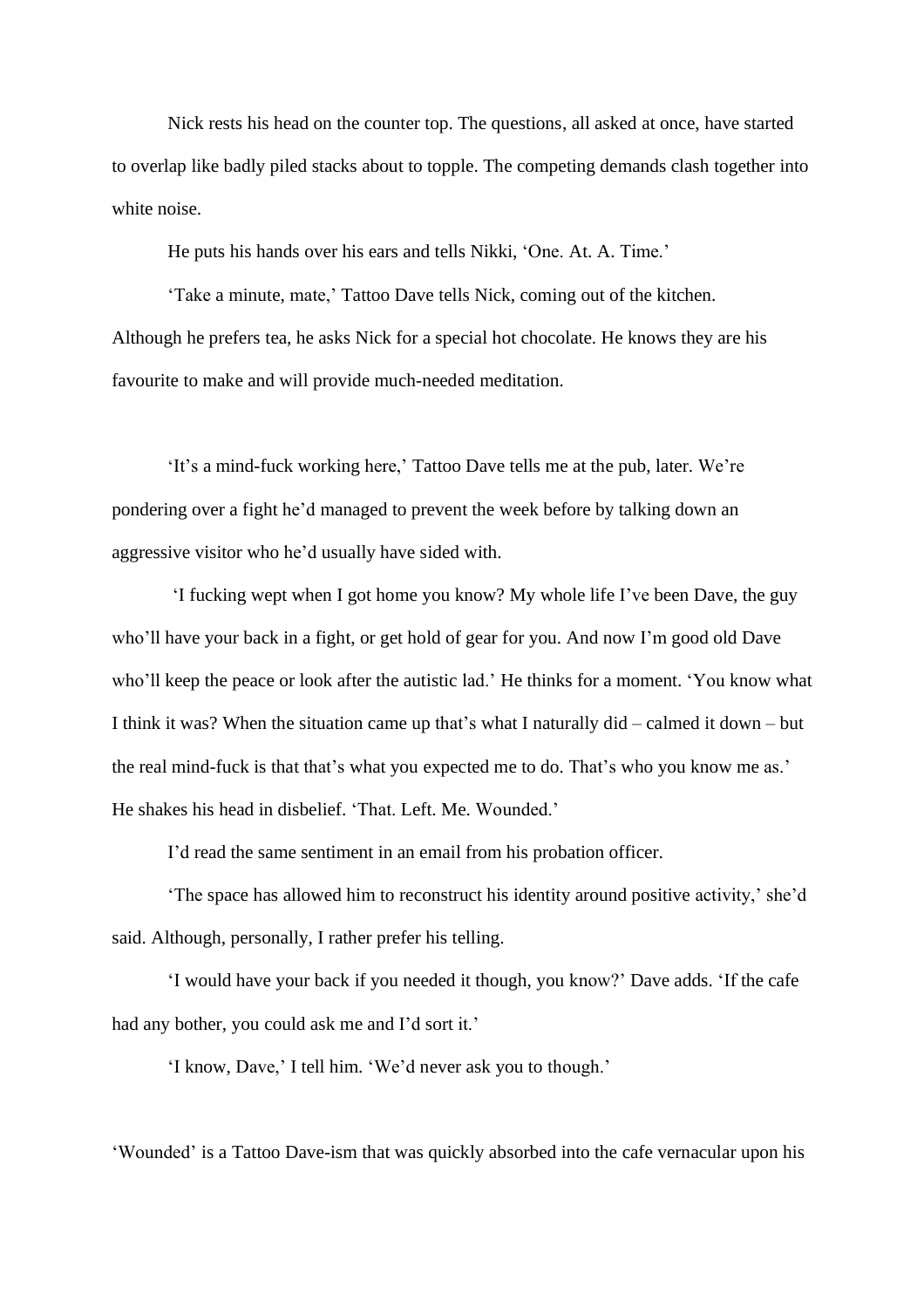Nick rests his head on the counter top. The questions, all asked at once, have started to overlap like badly piled stacks about to topple. The competing demands clash together into white noise.

He puts his hands over his ears and tells Nikki, 'One. At. A. Time.'

'Take a minute, mate,' Tattoo Dave tells Nick, coming out of the kitchen. Although he prefers tea, he asks Nick for a special hot chocolate. He knows they are his favourite to make and will provide much-needed meditation.

'It's a mind-fuck working here,' Tattoo Dave tells me at the pub, later. We're pondering over a fight he'd managed to prevent the week before by talking down an aggressive visitor who he'd usually have sided with.

'I fucking wept when I got home you know? My whole life I've been Dave, the guy who'll have your back in a fight, or get hold of gear for you. And now I'm good old Dave who'll keep the peace or look after the autistic lad.' He thinks for a moment. 'You know what I think it was? When the situation came up that's what I naturally did – calmed it down – but the real mind-fuck is that that's what you expected me to do. That's who you know me as.' He shakes his head in disbelief. 'That. Left. Me. Wounded.'

I'd read the same sentiment in an email from his probation officer.

'The space has allowed him to reconstruct his identity around positive activity,' she'd said. Although, personally, I rather prefer his telling.

'I would have your back if you needed it though, you know?' Dave adds. 'If the cafe had any bother, you could ask me and I'd sort it.'

'I know, Dave,' I tell him. 'We'd never ask you to though.'

'Wounded' is a Tattoo Dave-ism that was quickly absorbed into the cafe vernacular upon his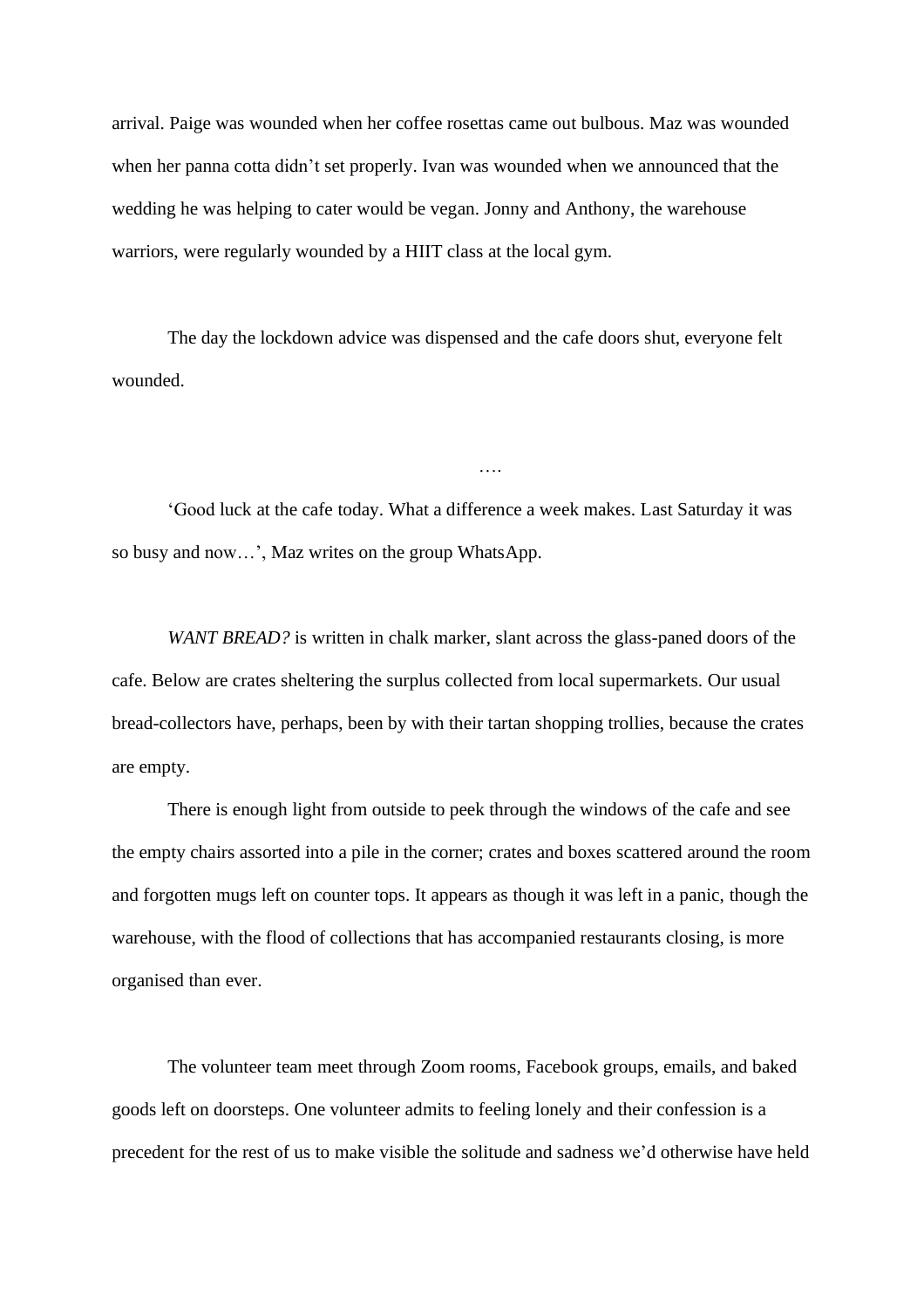arrival. Paige was wounded when her coffee rosettas came out bulbous. Maz was wounded when her panna cotta didn't set properly. Ivan was wounded when we announced that the wedding he was helping to cater would be vegan. Jonny and Anthony, the warehouse warriors, were regularly wounded by a HIIT class at the local gym.

The day the lockdown advice was dispensed and the cafe doors shut, everyone felt wounded.

'Good luck at the cafe today. What a difference a week makes. Last Saturday it was so busy and now…', Maz writes on the group WhatsApp.

….

*WANT BREAD?* is written in chalk marker, slant across the glass-paned doors of the cafe. Below are crates sheltering the surplus collected from local supermarkets. Our usual bread-collectors have, perhaps, been by with their tartan shopping trollies, because the crates are empty.

There is enough light from outside to peek through the windows of the cafe and see the empty chairs assorted into a pile in the corner; crates and boxes scattered around the room and forgotten mugs left on counter tops. It appears as though it was left in a panic, though the warehouse, with the flood of collections that has accompanied restaurants closing, is more organised than ever.

The volunteer team meet through Zoom rooms, Facebook groups, emails, and baked goods left on doorsteps. One volunteer admits to feeling lonely and their confession is a precedent for the rest of us to make visible the solitude and sadness we'd otherwise have held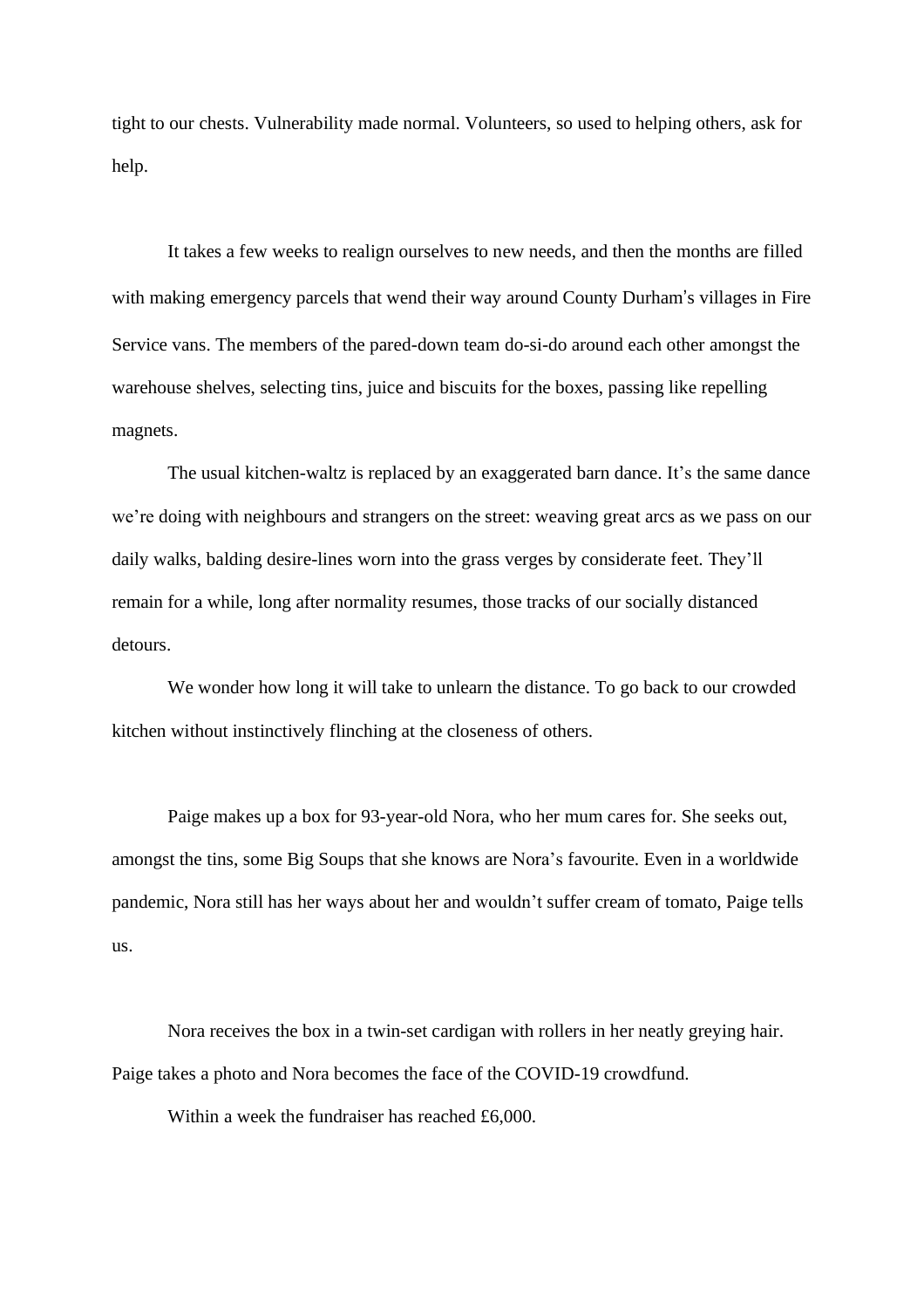tight to our chests. Vulnerability made normal. Volunteers, so used to helping others, ask for help.

It takes a few weeks to realign ourselves to new needs, and then the months are filled with making emergency parcels that wend their way around County Durham's villages in Fire Service vans. The members of the pared-down team do-si-do around each other amongst the warehouse shelves, selecting tins, juice and biscuits for the boxes, passing like repelling magnets.

The usual kitchen-waltz is replaced by an exaggerated barn dance. It's the same dance we're doing with neighbours and strangers on the street: weaving great arcs as we pass on our daily walks, balding desire-lines worn into the grass verges by considerate feet. They'll remain for a while, long after normality resumes, those tracks of our socially distanced detours.

We wonder how long it will take to unlearn the distance. To go back to our crowded kitchen without instinctively flinching at the closeness of others.

Paige makes up a box for 93-year-old Nora, who her mum cares for. She seeks out, amongst the tins, some Big Soups that she knows are Nora's favourite. Even in a worldwide pandemic, Nora still has her ways about her and wouldn't suffer cream of tomato, Paige tells us.

Nora receives the box in a twin-set cardigan with rollers in her neatly greying hair. Paige takes a photo and Nora becomes the face of the COVID-19 crowdfund.

Within a week the fundraiser has reached £6,000.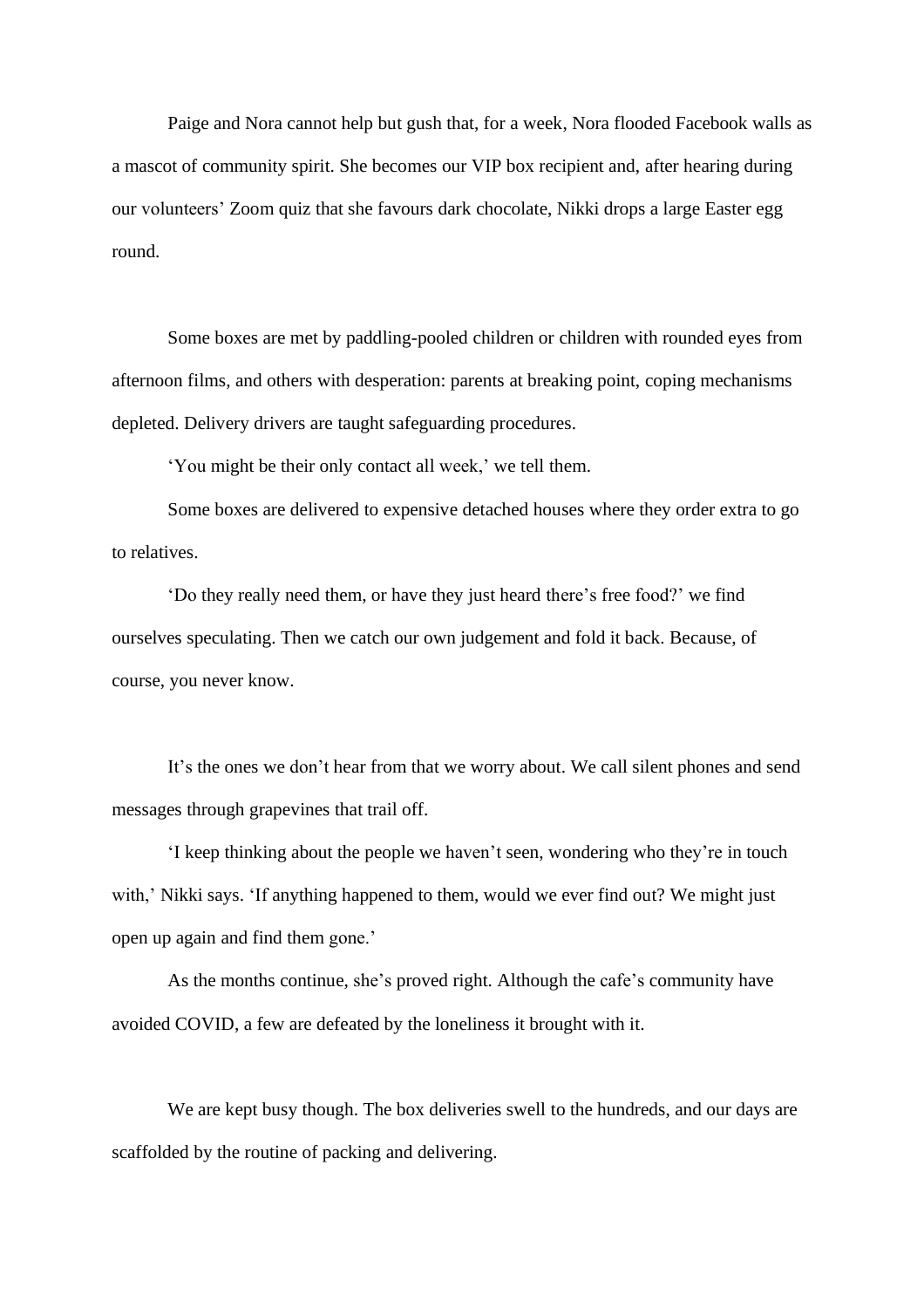Paige and Nora cannot help but gush that, for a week, Nora flooded Facebook walls as a mascot of community spirit. She becomes our VIP box recipient and, after hearing during our volunteers' Zoom quiz that she favours dark chocolate, Nikki drops a large Easter egg round.

Some boxes are met by paddling-pooled children or children with rounded eyes from afternoon films, and others with desperation: parents at breaking point, coping mechanisms depleted. Delivery drivers are taught safeguarding procedures.

'You might be their only contact all week,' we tell them.

Some boxes are delivered to expensive detached houses where they order extra to go to relatives.

'Do they really need them, or have they just heard there's free food?' we find ourselves speculating. Then we catch our own judgement and fold it back. Because, of course, you never know.

It's the ones we don't hear from that we worry about. We call silent phones and send messages through grapevines that trail off.

'I keep thinking about the people we haven't seen, wondering who they're in touch with,' Nikki says. 'If anything happened to them, would we ever find out? We might just open up again and find them gone.'

As the months continue, she's proved right. Although the cafe's community have avoided COVID, a few are defeated by the loneliness it brought with it.

We are kept busy though. The box deliveries swell to the hundreds, and our days are scaffolded by the routine of packing and delivering.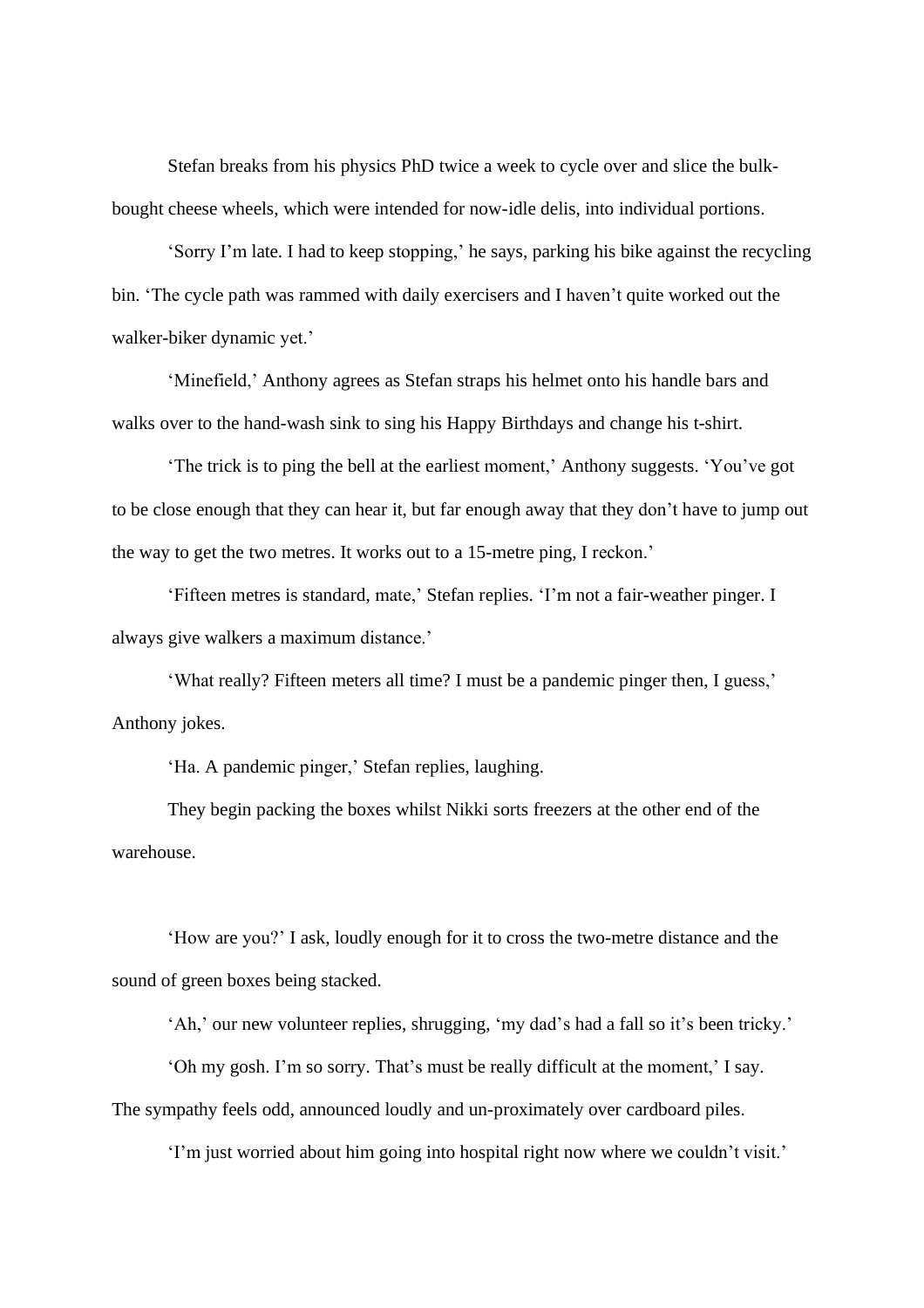Stefan breaks from his physics PhD twice a week to cycle over and slice the bulkbought cheese wheels, which were intended for now-idle delis, into individual portions.

'Sorry I'm late. I had to keep stopping,' he says, parking his bike against the recycling bin. 'The cycle path was rammed with daily exercisers and I haven't quite worked out the walker-biker dynamic yet.'

'Minefield,' Anthony agrees as Stefan straps his helmet onto his handle bars and walks over to the hand-wash sink to sing his Happy Birthdays and change his t-shirt.

'The trick is to ping the bell at the earliest moment,' Anthony suggests. 'You've got to be close enough that they can hear it, but far enough away that they don't have to jump out the way to get the two metres. It works out to a 15-metre ping, I reckon.'

'Fifteen metres is standard, mate,' Stefan replies. 'I'm not a fair-weather pinger. I always give walkers a maximum distance.'

'What really? Fifteen meters all time? I must be a pandemic pinger then, I guess,' Anthony jokes.

'Ha. A pandemic pinger,' Stefan replies, laughing.

They begin packing the boxes whilst Nikki sorts freezers at the other end of the warehouse.

'How are you?' I ask, loudly enough for it to cross the two-metre distance and the sound of green boxes being stacked.

'Ah,' our new volunteer replies, shrugging, 'my dad's had a fall so it's been tricky.'

'Oh my gosh. I'm so sorry. That's must be really difficult at the moment,' I say. The sympathy feels odd, announced loudly and un-proximately over cardboard piles.

'I'm just worried about him going into hospital right now where we couldn't visit.'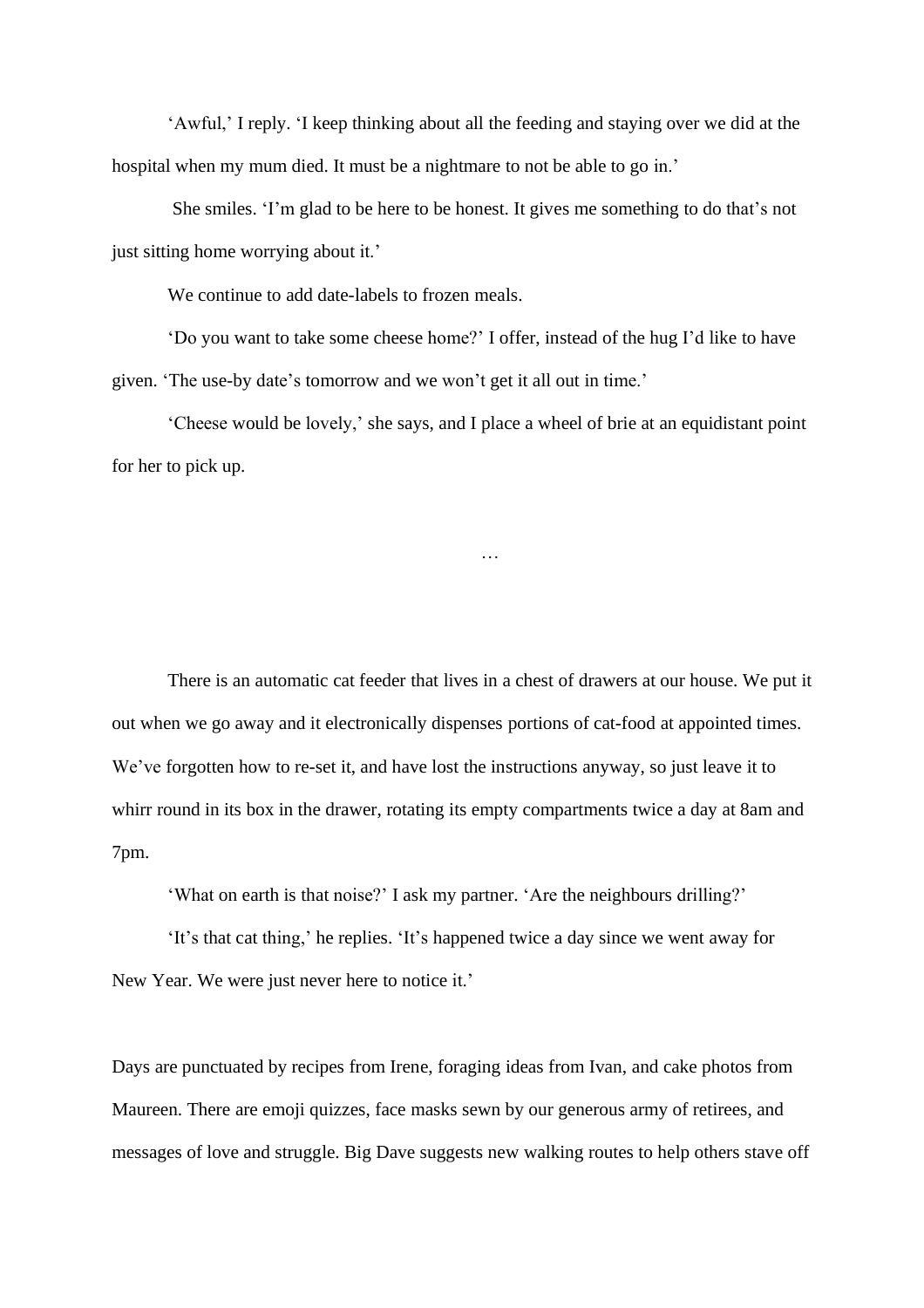'Awful,' I reply. 'I keep thinking about all the feeding and staying over we did at the hospital when my mum died. It must be a nightmare to not be able to go in.'

She smiles. 'I'm glad to be here to be honest. It gives me something to do that's not just sitting home worrying about it.'

We continue to add date-labels to frozen meals.

'Do you want to take some cheese home?' I offer, instead of the hug I'd like to have given. 'The use-by date's tomorrow and we won't get it all out in time.'

'Cheese would be lovely,' she says, and I place a wheel of brie at an equidistant point for her to pick up.

…

There is an automatic cat feeder that lives in a chest of drawers at our house. We put it out when we go away and it electronically dispenses portions of cat-food at appointed times. We've forgotten how to re-set it, and have lost the instructions anyway, so just leave it to whirr round in its box in the drawer, rotating its empty compartments twice a day at 8am and 7pm.

'What on earth is that noise?' I ask my partner. 'Are the neighbours drilling?'

'It's that cat thing,' he replies. 'It's happened twice a day since we went away for New Year. We were just never here to notice it.'

Days are punctuated by recipes from Irene, foraging ideas from Ivan, and cake photos from Maureen. There are emoji quizzes, face masks sewn by our generous army of retirees, and messages of love and struggle. Big Dave suggests new walking routes to help others stave off